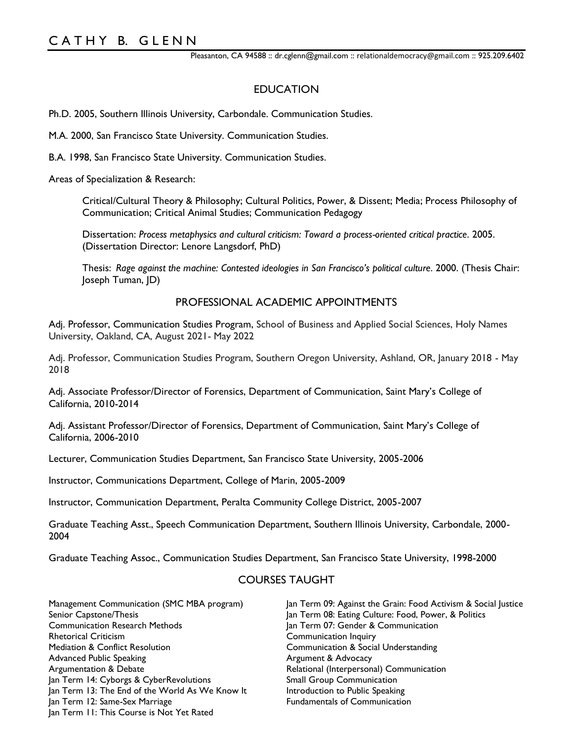Pleasanton, CA 94588 :: dr.cglenn@gmail.com :: relationaldemocracy@gmail.com :: 925.209.6402

# EDUCATION

Ph.D. 2005, Southern Illinois University, Carbondale. Communication Studies.

M.A. 2000, San Francisco State University. Communication Studies.

B.A. 1998, San Francisco State University. Communication Studies.

Areas of Specialization & Research:

Critical/Cultural Theory & Philosophy; Cultural Politics, Power, & Dissent; Media; Process Philosophy of Communication; Critical Animal Studies; Communication Pedagogy

Dissertation: *Process metaphysics and cultural criticism: Toward a process-oriented critical practice*. 2005. (Dissertation Director: Lenore Langsdorf, PhD)

Thesis: *Rage against the machine: Contested ideologies in San Francisco's political culture*. 2000. (Thesis Chair: Joseph Tuman, JD)

### PROFESSIONAL ACADEMIC APPOINTMENTS

Adj. Professor, Communication Studies Program, School of Business and Applied Social Sciences, Holy Names University, Oakland, CA, August 2021- May 2022

Adj. Professor, Communication Studies Program, Southern Oregon University, Ashland, OR, January 2018 - May 2018

Adj. Associate Professor/Director of Forensics, Department of Communication, Saint Mary's College of California, 2010-2014

Adj. Assistant Professor/Director of Forensics, Department of Communication, Saint Mary's College of California, 2006-2010

Lecturer, Communication Studies Department, San Francisco State University, 2005-2006

Instructor, Communications Department, College of Marin, 2005-2009

Instructor, Communication Department, Peralta Community College District, 2005-2007

Graduate Teaching Asst., Speech Communication Department, Southern Illinois University, Carbondale, 2000- 2004

Graduate Teaching Assoc., Communication Studies Department, San Francisco State University, 1998-2000

# COURSES TAUGHT

Management Communication (SMC MBA program) Senior Capstone/Thesis Communication Research Methods Rhetorical Criticism Mediation & Conflict Resolution Advanced Public Speaking Argumentation & Debate Jan Term 14: Cyborgs & CyberRevolutions Jan Term 13: The End of the World As We Know It Jan Term 12: Same-Sex Marriage Jan Term 11: This Course is Not Yet Rated

Jan Term 09: Against the Grain: Food Activism & Social Justice Jan Term 08: Eating Culture: Food, Power, & Politics Jan Term 07: Gender & Communication Communication Inquiry Communication & Social Understanding Argument & Advocacy Relational (Interpersonal) Communication Small Group Communication Introduction to Public Speaking Fundamentals of Communication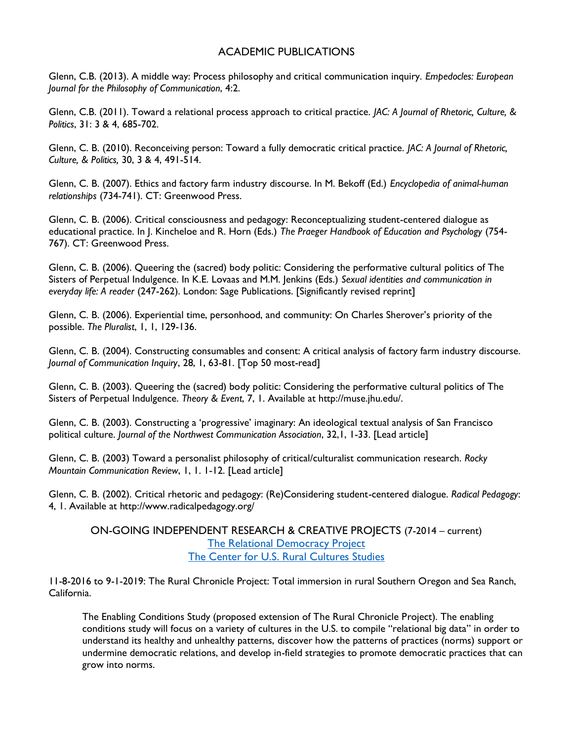# ACADEMIC PUBLICATIONS

Glenn, C.B. (2013). A middle way: Process philosophy and critical communication inquiry. *Empedocles: European Journal for the Philosophy of Communication*, 4:2.

Glenn, C.B. (2011). Toward a relational process approach to critical practice. *JAC: A Journal of Rhetoric, Culture, & Politics*, 31: 3 & 4, 685-702.

Glenn, C. B. (2010). Reconceiving person: Toward a fully democratic critical practice. *JAC: A Journal of Rhetoric, Culture, & Politics,* 30, 3 & 4, 491-514.

Glenn, C. B. (2007). Ethics and factory farm industry discourse. In M. Bekoff (Ed.) *Encyclopedia of animal-human relationships* (734-741). CT: Greenwood Press.

Glenn, C. B. (2006). Critical consciousness and pedagogy: Reconceptualizing student-centered dialogue as educational practice. In J. Kincheloe and R. Horn (Eds.) *The Praeger Handbook of Education and Psychology* (754- 767). CT: Greenwood Press.

Glenn, C. B. (2006). Queering the (sacred) body politic: Considering the performative cultural politics of The Sisters of Perpetual Indulgence. In K.E. Lovaas and M.M. Jenkins (Eds.) *Sexual identities and communication in everyday life: A reader* (247-262). London: Sage Publications. [Significantly revised reprint]

Glenn, C. B. (2006). Experiential time, personhood, and community: On Charles Sherover's priority of the possible. *The Pluralist*, 1, 1, 129-136.

Glenn, C. B. (2004). Constructing consumables and consent: A critical analysis of factory farm industry discourse. *Journal of Communication Inquiry*, 28, 1, 63-81. [Top 50 most-read]

Glenn, C. B. (2003). Queering the (sacred) body politic: Considering the performative cultural politics of The Sisters of Perpetual Indulgence. *Theory & Event*, 7, 1. Available at http://muse.jhu.edu/.

Glenn, C. B. (2003). Constructing a 'progressive' imaginary: An ideological textual analysis of San Francisco political culture. *Journal of the Northwest Communication Association*, 32,1, 1-33. [Lead article]

Glenn, C. B. (2003) Toward a personalist philosophy of critical/culturalist communication research. *Rocky Mountain Communication Review*, 1, 1. 1-12. [Lead article]

Glenn, C. B. (2002). Critical rhetoric and pedagogy: (Re)Considering student-centered dialogue. *Radical Pedagogy*: 4, 1. Available at http://www.radicalpedagogy.org/

ON-GOING INDEPENDENT RESEARCH & CREATIVE PROJECTS (7-2014 – current) [The Relational Democracy Project](https://relationaldemocracy.medium.com/) [The Center for U.S. Rural Cultures Studies](https://cathybglenn.com/welcome-the-center-for-u-s-rural-cultures-studies/)

11-8-2016 to 9-1-2019: The Rural Chronicle Project: Total immersion in rural Southern Oregon and Sea Ranch, California.

The Enabling Conditions Study (proposed extension of The Rural Chronicle Project). The enabling conditions study will focus on a variety of cultures in the U.S. to compile "relational big data" in order to understand its healthy and unhealthy patterns, discover how the patterns of practices (norms) support or undermine democratic relations, and develop in-field strategies to promote democratic practices that can grow into norms.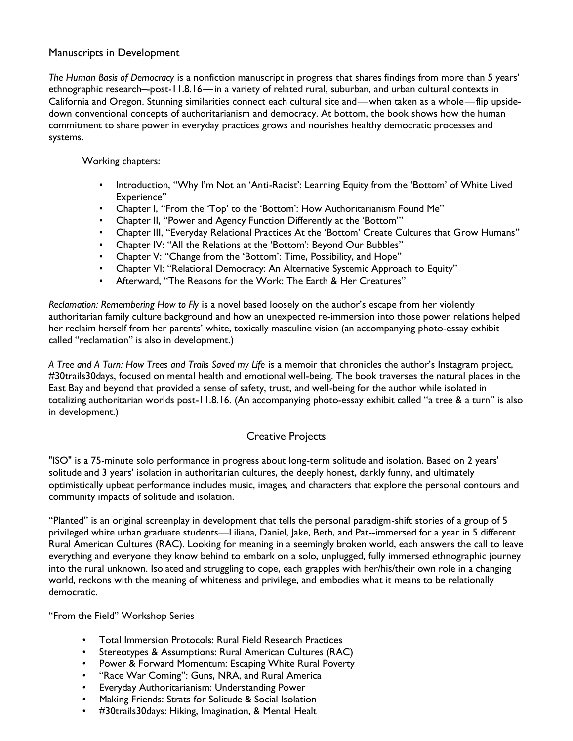### Manuscripts in Development

*The Human Basis of Democracy* is a nonfiction manuscript in progress that shares findings from more than 5 years' ethnographic research–-post-11.8.16—in a variety of related rural, suburban, and urban cultural contexts in California and Oregon. Stunning similarities connect each cultural site and—when taken as a whole—flip upsidedown conventional concepts of authoritarianism and democracy. At bottom, the book shows how the human commitment to share power in everyday practices grows and nourishes healthy democratic processes and systems.

#### Working chapters:

- Introduction, "Why I'm Not an 'Anti-Racist': Learning Equity from the 'Bottom' of White Lived Experience"
- Chapter I, "From the 'Top' to the 'Bottom': How Authoritarianism Found Me"
- Chapter II, "Power and Agency Function Differently at the 'Bottom'"
- Chapter III, "Everyday Relational Practices At the 'Bottom' Create Cultures that Grow Humans"
- Chapter IV: "All the Relations at the 'Bottom': Beyond Our Bubbles"
- Chapter V: "Change from the 'Bottom': Time, Possibility, and Hope"
- Chapter VI: "Relational Democracy: An Alternative Systemic Approach to Equity"
- Afterward, "The Reasons for the Work: The Earth & Her Creatures"

*Reclamation: Remembering How to Fly* is a novel based loosely on the author's escape from her violently authoritarian family culture background and how an unexpected re-immersion into those power relations helped her reclaim herself from her parents' white, toxically masculine vision (an accompanying photo-essay exhibit called "reclamation" is also in development.)

*A Tree and A Turn: How Trees and Trails Saved my Life* is a memoir that chronicles the author's Instagram project, #30trails30days, focused on mental health and emotional well-being. The book traverses the natural places in the East Bay and beyond that provided a sense of safety, trust, and well-being for the author while isolated in totalizing authoritarian worlds post-11.8.16. (An accompanying photo-essay exhibit called "a tree & a turn" is also in development.)

# Creative Projects

"ISO" is a 75-minute solo performance in progress about long-term solitude and isolation. Based on 2 years' solitude and 3 years' isolation in authoritarian cultures, the deeply honest, darkly funny, and ultimately optimistically upbeat performance includes music, images, and characters that explore the personal contours and community impacts of solitude and isolation.

"Planted" is an original screenplay in development that tells the personal paradigm-shift stories of a group of 5 privileged white urban graduate students—Liliana, Daniel, Jake, Beth, and Pat--immersed for a year in 5 different Rural American Cultures (RAC). Looking for meaning in a seemingly broken world, each answers the call to leave everything and everyone they know behind to embark on a solo, unplugged, fully immersed ethnographic journey into the rural unknown. Isolated and struggling to cope, each grapples with her/his/their own role in a changing world, reckons with the meaning of whiteness and privilege, and embodies what it means to be relationally democratic.

"From the Field" Workshop Series

- Total Immersion Protocols: Rural Field Research Practices
- Stereotypes & Assumptions: Rural American Cultures (RAC)
- Power & Forward Momentum: Escaping White Rural Poverty
- "Race War Coming": Guns, NRA, and Rural America
- Everyday Authoritarianism: Understanding Power
- Making Friends: Strats for Solitude & Social Isolation
- #30trails30days: Hiking, Imagination, & Mental Healt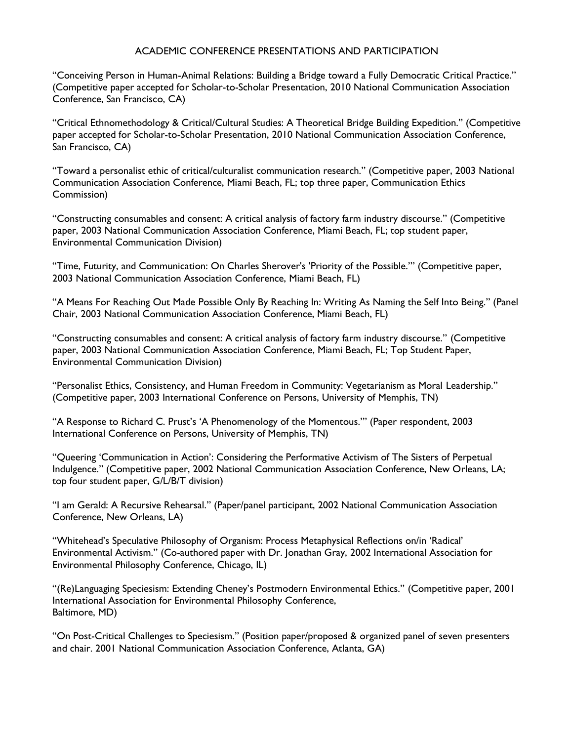#### ACADEMIC CONFERENCE PRESENTATIONS AND PARTICIPATION

"Conceiving Person in Human-Animal Relations: Building a Bridge toward a Fully Democratic Critical Practice." (Competitive paper accepted for Scholar-to-Scholar Presentation, 2010 National Communication Association Conference, San Francisco, CA)

"Critical Ethnomethodology & Critical/Cultural Studies: A Theoretical Bridge Building Expedition." (Competitive paper accepted for Scholar-to-Scholar Presentation, 2010 National Communication Association Conference, San Francisco, CA)

"Toward a personalist ethic of critical/culturalist communication research." (Competitive paper, 2003 National Communication Association Conference, Miami Beach, FL; top three paper, Communication Ethics Commission)

"Constructing consumables and consent: A critical analysis of factory farm industry discourse." (Competitive paper, 2003 National Communication Association Conference, Miami Beach, FL; top student paper, Environmental Communication Division)

"Time, Futurity, and Communication: On Charles Sherover's 'Priority of the Possible.'" (Competitive paper, 2003 National Communication Association Conference, Miami Beach, FL)

"A Means For Reaching Out Made Possible Only By Reaching In: Writing As Naming the Self Into Being." (Panel Chair, 2003 National Communication Association Conference, Miami Beach, FL)

"Constructing consumables and consent: A critical analysis of factory farm industry discourse." (Competitive paper, 2003 National Communication Association Conference, Miami Beach, FL; Top Student Paper, Environmental Communication Division)

"Personalist Ethics, Consistency, and Human Freedom in Community: Vegetarianism as Moral Leadership." (Competitive paper, 2003 International Conference on Persons, University of Memphis, TN)

"A Response to Richard C. Prust's 'A Phenomenology of the Momentous.'" (Paper respondent, 2003 International Conference on Persons, University of Memphis, TN)

"Queering 'Communication in Action': Considering the Performative Activism of The Sisters of Perpetual Indulgence." (Competitive paper, 2002 National Communication Association Conference, New Orleans, LA; top four student paper, G/L/B/T division)

"I am Gerald: A Recursive Rehearsal." (Paper/panel participant, 2002 National Communication Association Conference, New Orleans, LA)

"Whitehead's Speculative Philosophy of Organism: Process Metaphysical Reflections on/in 'Radical' Environmental Activism." (Co-authored paper with Dr. Jonathan Gray, 2002 International Association for Environmental Philosophy Conference, Chicago, IL)

"(Re)Languaging Speciesism: Extending Cheney's Postmodern Environmental Ethics." (Competitive paper, 2001 International Association for Environmental Philosophy Conference, Baltimore, MD)

"On Post-Critical Challenges to Speciesism." (Position paper/proposed & organized panel of seven presenters and chair. 2001 National Communication Association Conference, Atlanta, GA)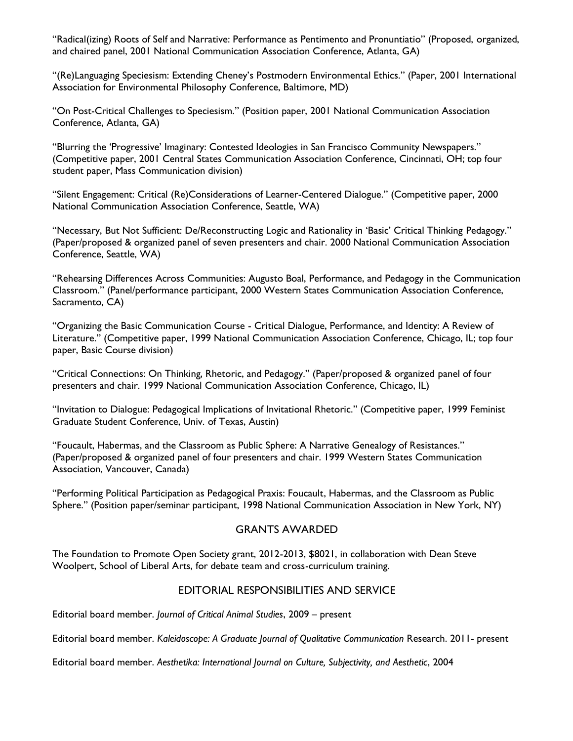"Radical(izing) Roots of Self and Narrative: Performance as Pentimento and Pronuntiatio" (Proposed, organized, and chaired panel, 2001 National Communication Association Conference, Atlanta, GA)

"(Re)Languaging Speciesism: Extending Cheney's Postmodern Environmental Ethics." (Paper, 2001 International Association for Environmental Philosophy Conference, Baltimore, MD)

"On Post-Critical Challenges to Speciesism." (Position paper, 2001 National Communication Association Conference, Atlanta, GA)

"Blurring the 'Progressive' Imaginary: Contested Ideologies in San Francisco Community Newspapers." (Competitive paper, 2001 Central States Communication Association Conference, Cincinnati, OH; top four student paper, Mass Communication division)

"Silent Engagement: Critical (Re)Considerations of Learner-Centered Dialogue." (Competitive paper, 2000 National Communication Association Conference, Seattle, WA)

"Necessary, But Not Sufficient: De/Reconstructing Logic and Rationality in 'Basic' Critical Thinking Pedagogy." (Paper/proposed & organized panel of seven presenters and chair. 2000 National Communication Association Conference, Seattle, WA)

"Rehearsing Differences Across Communities: Augusto Boal, Performance, and Pedagogy in the Communication Classroom." (Panel/performance participant, 2000 Western States Communication Association Conference, Sacramento, CA)

"Organizing the Basic Communication Course - Critical Dialogue, Performance, and Identity: A Review of Literature." (Competitive paper, 1999 National Communication Association Conference, Chicago, IL; top four paper, Basic Course division)

"Critical Connections: On Thinking, Rhetoric, and Pedagogy." (Paper/proposed & organized panel of four presenters and chair. 1999 National Communication Association Conference, Chicago, IL)

"Invitation to Dialogue: Pedagogical Implications of Invitational Rhetoric." (Competitive paper, 1999 Feminist Graduate Student Conference, Univ. of Texas, Austin)

"Foucault, Habermas, and the Classroom as Public Sphere: A Narrative Genealogy of Resistances." (Paper/proposed & organized panel of four presenters and chair. 1999 Western States Communication Association, Vancouver, Canada)

"Performing Political Participation as Pedagogical Praxis: Foucault, Habermas, and the Classroom as Public Sphere." (Position paper/seminar participant, 1998 National Communication Association in New York, NY)

### GRANTS AWARDED

The Foundation to Promote Open Society grant, 2012-2013, \$8021, in collaboration with Dean Steve Woolpert, School of Liberal Arts, for debate team and cross-curriculum training.

### EDITORIAL RESPONSIBILITIES AND SERVICE

Editorial board member. *Journal of Critical Animal Studies*, 2009 – present

Editorial board member. *Kaleidoscope: A Graduate Journal of Qualitative Communication* Research. 2011- present

Editorial board member. *Aesthetika: International Journal on Culture, Subjectivity, and Aesthetic*, 2004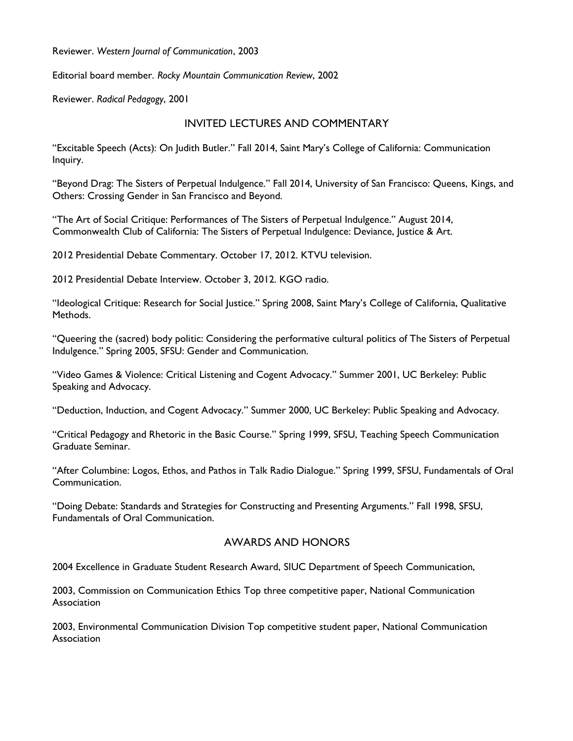Reviewer. *Western Journal of Communication*, 2003

Editorial board member. *Rocky Mountain Communication Review*, 2002

Reviewer. *Radical Pedagogy*, 2001

### INVITED LECTURES AND COMMENTARY

"Excitable Speech (Acts): On Judith Butler." Fall 2014, Saint Mary's College of California: Communication Inquiry.

"Beyond Drag: The Sisters of Perpetual Indulgence." Fall 2014, University of San Francisco: Queens, Kings, and Others: Crossing Gender in San Francisco and Beyond.

"The Art of Social Critique: Performances of The Sisters of Perpetual Indulgence." August 2014, Commonwealth Club of California: The Sisters of Perpetual Indulgence: Deviance, Justice & Art.

2012 Presidential Debate Commentary. October 17, 2012. KTVU television.

2012 Presidential Debate Interview. October 3, 2012. KGO radio.

"Ideological Critique: Research for Social Justice." Spring 2008, Saint Mary's College of California, Qualitative Methods.

"Queering the (sacred) body politic: Considering the performative cultural politics of The Sisters of Perpetual Indulgence." Spring 2005, SFSU: Gender and Communication.

"Video Games & Violence: Critical Listening and Cogent Advocacy." Summer 2001, UC Berkeley: Public Speaking and Advocacy.

"Deduction, Induction, and Cogent Advocacy." Summer 2000, UC Berkeley: Public Speaking and Advocacy.

"Critical Pedagogy and Rhetoric in the Basic Course." Spring 1999, SFSU, Teaching Speech Communication Graduate Seminar.

"After Columbine: Logos, Ethos, and Pathos in Talk Radio Dialogue." Spring 1999, SFSU, Fundamentals of Oral Communication.

"Doing Debate: Standards and Strategies for Constructing and Presenting Arguments." Fall 1998, SFSU, Fundamentals of Oral Communication.

### AWARDS AND HONORS

2004 Excellence in Graduate Student Research Award, SIUC Department of Speech Communication,

2003, Commission on Communication Ethics Top three competitive paper, National Communication **Association** 

2003, Environmental Communication Division Top competitive student paper, National Communication **Association**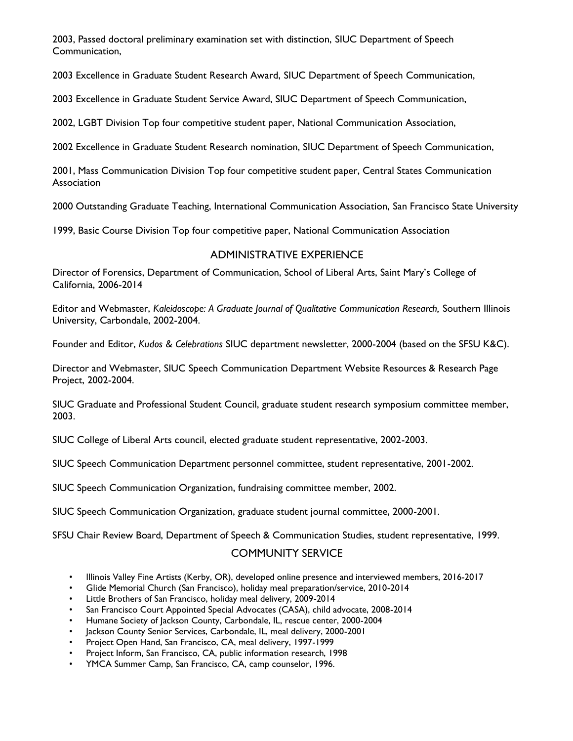2003, Passed doctoral preliminary examination set with distinction, SIUC Department of Speech Communication,

2003 Excellence in Graduate Student Research Award, SIUC Department of Speech Communication,

2003 Excellence in Graduate Student Service Award, SIUC Department of Speech Communication,

2002, LGBT Division Top four competitive student paper, National Communication Association,

2002 Excellence in Graduate Student Research nomination, SIUC Department of Speech Communication,

2001, Mass Communication Division Top four competitive student paper, Central States Communication **Association** 

2000 Outstanding Graduate Teaching, International Communication Association, San Francisco State University

1999, Basic Course Division Top four competitive paper, National Communication Association

### ADMINISTRATIVE EXPERIENCE

Director of Forensics, Department of Communication, School of Liberal Arts, Saint Mary's College of California, 2006-2014

Editor and Webmaster, *Kaleidoscope: A Graduate Journal of Qualitative Communication Research,* Southern Illinois University, Carbondale, 2002-2004.

Founder and Editor, *Kudos & Celebrations* SIUC department newsletter, 2000-2004 (based on the SFSU K&C).

Director and Webmaster, SIUC Speech Communication Department Website Resources & Research Page Project, 2002-2004.

SIUC Graduate and Professional Student Council, graduate student research symposium committee member, 2003.

SIUC College of Liberal Arts council, elected graduate student representative, 2002-2003.

SIUC Speech Communication Department personnel committee, student representative, 2001-2002.

SIUC Speech Communication Organization, fundraising committee member, 2002.

SIUC Speech Communication Organization, graduate student journal committee, 2000-2001.

SFSU Chair Review Board, Department of Speech & Communication Studies, student representative, 1999.

### COMMUNITY SERVICE

- Illinois Valley Fine Artists (Kerby, OR), developed online presence and interviewed members, 2016-2017
- Glide Memorial Church (San Francisco), holiday meal preparation/service, 2010-2014
- Little Brothers of San Francisco, holiday meal delivery, 2009-2014
- San Francisco Court Appointed Special Advocates (CASA), child advocate, 2008-2014
- Humane Society of Jackson County, Carbondale, IL, rescue center, 2000-2004
- Jackson County Senior Services, Carbondale, IL, meal delivery, 2000-2001
- Project Open Hand, San Francisco, CA, meal delivery, 1997-1999
- Project Inform, San Francisco, CA, public information research, 1998
- YMCA Summer Camp, San Francisco, CA, camp counselor, 1996.